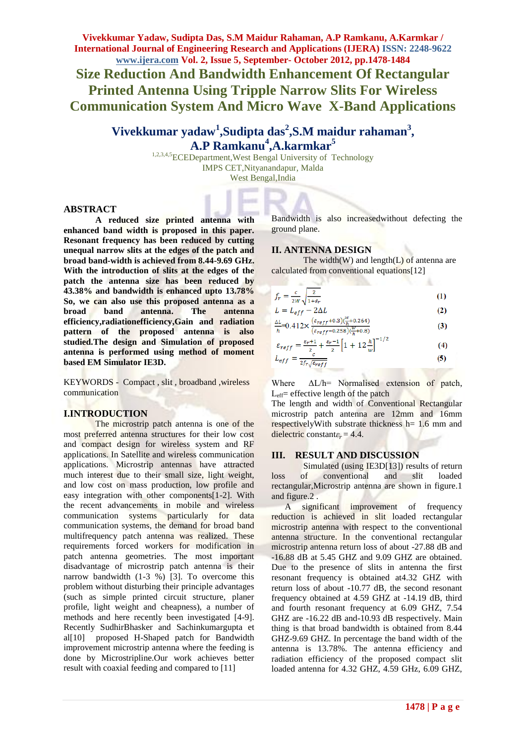**Vivekkumar Yadaw, Sudipta Das, S.M Maidur Rahaman, A.P Ramkanu, A.Karmkar / International Journal of Engineering Research and Applications (IJERA) ISSN: 2248-9622 www.ijera.com Vol. 2, Issue 5, September- October 2012, pp.1478-1484 Size Reduction And Bandwidth Enhancement Of Rectangular Printed Antenna Using Tripple Narrow Slits For Wireless Communication System And Micro Wave X-Band Applications**

# **Vivekkumar yadaw<sup>1</sup> ,Sudipta das<sup>2</sup> ,S.M maidur rahaman<sup>3</sup> , A.P Ramkanu<sup>4</sup> ,A.karmkar<sup>5</sup>**

<sup>1,2,3,4,5</sup>ECEDepartment, West Bengal University of Technology IMPS CET,Nityanandapur, Malda West Bengal,India

#### **ABSTRACT**

**A reduced size printed antenna with enhanced band width is proposed in this paper. Resonant frequency has been reduced by cutting unequal narrow slits at the edges of the patch and broad band-width is achieved from 8.44-9.69 GHz. With the introduction of slits at the edges of the patch the antenna size has been reduced by 43.38% and bandwidth is enhanced upto 13.78% So, we can also use this proposed antenna as a broad band antenna. The antenna efficiency,radiationefficiency,Gain and radiation pattern of the proposed antenna is also studied.The design and Simulation of proposed antenna is performed using method of moment based EM Simulator IE3D.**

KEYWORDS - Compact , slit , broadband ,wireless communication

#### **I.INTRODUCTION**

The microstrip patch antenna is one of the most preferred antenna structures for their low cost and compact design for wireless system and RF applications. In Satellite and wireless communication applications. Microstrip antennas have attracted much interest due to their small size, light weight, and low cost on mass production, low profile and easy integration with other components[1-2]. With the recent advancements in mobile and wireless communication systems particularly for data communication systems, the demand for broad band multifrequency patch antenna was realized. These requirements forced workers for modification in patch antenna geometries. The most important disadvantage of microstrip patch antenna is their narrow bandwidth  $(1-3 \%)$  [3]. To overcome this problem without disturbing their principle advantages (such as simple printed circuit structure, planer profile, light weight and cheapness), a number of methods and here recently been investigated [4-9]. Recently SudhirBhasker and Sachinkumargupta et al[10] proposed H-Shaped patch for Bandwidth improvement microstrip antenna where the feeding is done by Microstripline.Our work achieves better result with coaxial feeding and compared to [11]

Bandwidth is also increasedwithout defecting the ground plane.

#### **II. ANTENNA DESIGN**

The width $(W)$  and length $(L)$  of antenna are calculated from conventional equations[12]

| $f_r = \frac{c}{2W} \sqrt{\frac{2}{1+\varepsilon_r}}$ |                                    | (1) |
|-------------------------------------------------------|------------------------------------|-----|
|                                                       | $\sim$ $\sim$ $\sim$ $\sim$ $\sim$ |     |

$$
L = L_{eff} = 2\Delta L
$$
\n
$$
M_{\text{max}} = \left(\varepsilon_{\text{ref}} + 0.3\right) \left(\frac{W}{N} + 0.264\right)
$$
\n
$$
(2)
$$

$$
\frac{1}{h} = 0.412 \times \frac{(1.67)}{(1.67 \times 10^{-19} \text{ J} \cdot \text{m}^2)(\frac{\text{W}}{h} + 0.8)}
$$
(3)

$$
\varepsilon_{reff} = \frac{\varepsilon_{r+1}}{2} + \frac{\varepsilon_{r-1}}{2} \left[ 1 + 12 \frac{h}{w} \right]^{-1/2}
$$
(4)

$$
L_{eff} = \frac{1}{2f_r \sqrt{\varepsilon_{reff}}} \tag{5}
$$

Where  $\Delta L/h =$  Normalised extension of patch,  $L_{eff}$  effective length of the patch

The length and width of Conventional Rectangular microstrip patch antenna are 12mm and 16mm respectively With substrate thickness  $h= 1.6$  mm and dielectric constant $\varepsilon$ <sub>r</sub> = 4.4.

#### **III. RESULT AND DISCUSSION**

Simulated (using IE3D[13]) results of return loss of conventional and slit loaded rectangular,Microstrip antenna are shown in figure.1 and figure.2 .

 A significant improvement of frequency reduction is achieved in slit loaded rectangular microstrip antenna with respect to the conventional antenna structure. In the conventional rectangular microstrip antenna return loss of about -27.88 dB and -16.88 dB at 5.45 GHZ and 9.09 GHZ are obtained. Due to the presence of slits in antenna the first resonant frequency is obtained at4.32 GHZ with return loss of about -10.77 dB, the second resonant frequency obtained at 4.59 GHZ at -14.19 dB, third and fourth resonant frequency at 6.09 GHZ, 7.54 GHZ are -16.22 dB and-10.93 dB respectively. Main thing is that broad bandwidth is obtained from 8.44 GHZ-9.69 GHZ. In percentage the band width of the antenna is 13.78%. The antenna efficiency and radiation efficiency of the proposed compact slit loaded antenna for 4.32 GHZ, 4.59 GHz, 6.09 GHZ,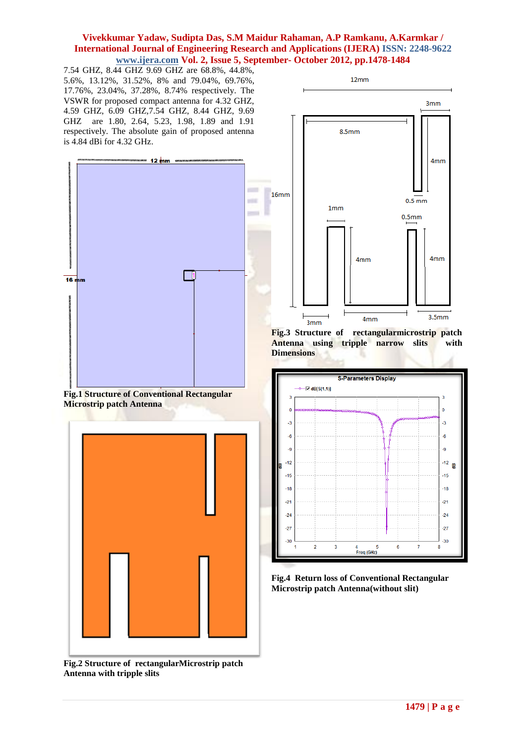7.54 GHZ, 8.44 GHZ 9.69 GHZ are 68.8%, 44.8%, 5.6%, 13.12%, 31.52%, 8% and 79.04%, 69.76%, 17.76%, 23.04%, 37.28%, 8.74% respectively. The VSWR for proposed compact antenna for 4.32 GHZ, 4.59 GHZ, 6.09 GHZ,7.54 GHZ, 8.44 GHZ, 9.69 GHZ are 1.80, 2.64, 5.23, 1.98, 1.89 and 1.91 respectively. The absolute gain of proposed antenna is 4.84 dBi for 4.32 GHz.







**Fig.2 Structure of rectangularMicrostrip patch Antenna with tripple slits**



**Fig.3 Structure of rectangularmicrostrip patch Antenna using tripple narrow slits with Dimensions**



**Fig.4 Return loss of Conventional Rectangular Microstrip patch Antenna(without slit)**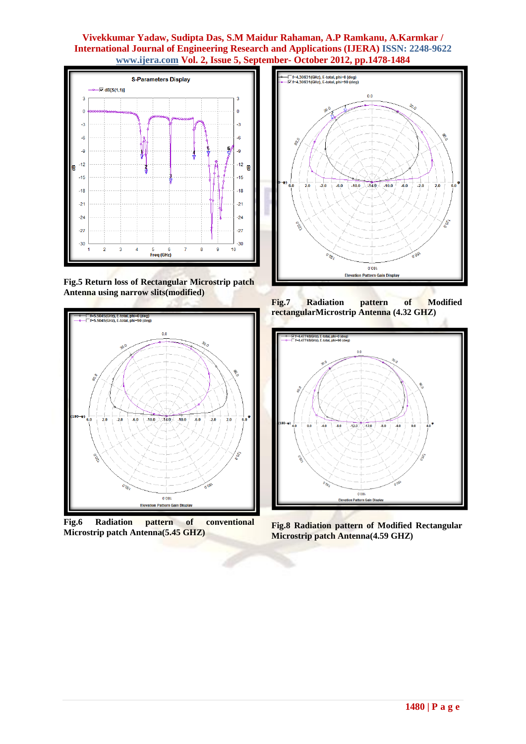

**Fig.5 Return loss of Rectangular Microstrip patch Antenna using narrow slits(modified)**



**Fig.6 Radiation pattern of conventional Microstrip patch Antenna(5.45 GHZ)**



**Fig.7 Radiation pattern of Modified rectangularMicrostrip Antenna (4.32 GHZ)**



**Fig.8 Radiation pattern of Modified Rectangular Microstrip patch Antenna(4.59 GHZ)**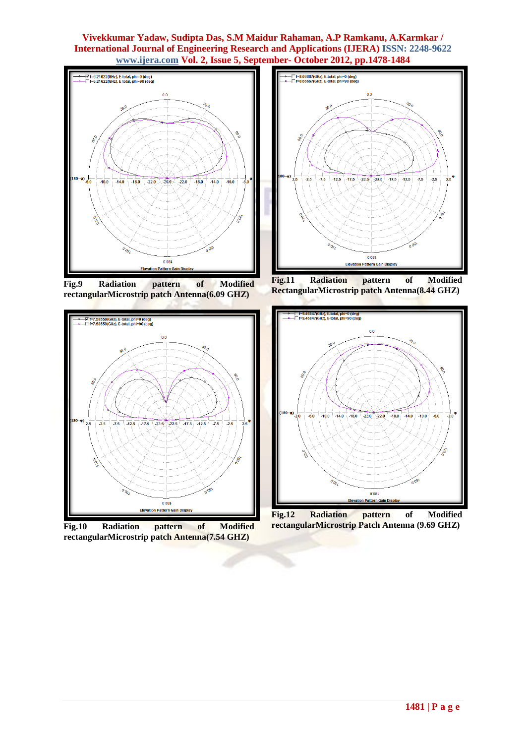

**Fig.9 Radiation pattern of Modified rectangularMicrostrip patch Antenna(6.09 GHZ)**



**Fig.10 Radiation pattern of Modified rectangularMicrostrip patch Antenna(7.54 GHZ)**



**Fig.11 Radiation pattern of Modified RectangularMicrostrip patch Antenna(8.44 GHZ)**



**Fig.12 Radiation pattern of Modified rectangularMicrostrip Patch Antenna (9.69 GHZ)**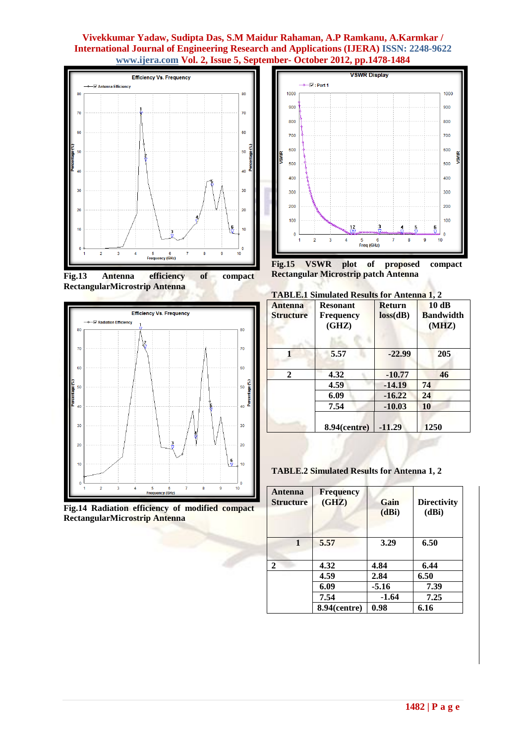

**Fig.13 Antenna efficiency of compact RectangularMicrostrip Antenna**



**Fig.14 Radiation efficiency of modified compact RectangularMicrostrip Antenna**



**Fig.15 VSWR plot of proposed compact Rectangular Microstrip patch Antenna**

Λ

|  | <b>TABLE.1 Simulated Results for Antenna 1, 2</b> |  |  |  |  |  |
|--|---------------------------------------------------|--|--|--|--|--|
|--|---------------------------------------------------|--|--|--|--|--|

٠

| <b>Antenna</b><br><b>Structure</b> | <b>Resonant</b><br><b>Frequency</b><br>(GHZ) | <b>Return</b><br>loss(dB) | 10dB<br><b>Bandwidth</b><br>(MHZ) |  |
|------------------------------------|----------------------------------------------|---------------------------|-----------------------------------|--|
|                                    | 5.57                                         | $-22.99$                  | 205                               |  |
| $\mathbf{2}$                       | 4.32                                         | $-10.77$                  | 46                                |  |
|                                    | 4.59                                         | $-14.19$                  | 74                                |  |
|                                    | 6.09                                         | $-16.22$                  | 24                                |  |
|                                    | 7.54                                         | $-10.03$                  | 10                                |  |
|                                    | $8.94$ (centre)                              | $-11.29$                  | 1250                              |  |

**TABLE.2 Simulated Results for Antenna 1, 2**

| Antenna<br><b>Structure</b> | <b>Frequency</b><br>(GHZ) | Gain<br>(dBi) | <b>Directivity</b><br>(dBi) |
|-----------------------------|---------------------------|---------------|-----------------------------|
| 1                           | 5.57                      | 3.29          | 6.50                        |
| 2                           | 4.32                      | 4.84          | 6.44                        |
|                             | 4.59                      | 2.84          | 6.50                        |
|                             | 6.09                      | $-5.16$       | 7.39                        |
|                             | 7.54                      | $-1.64$       | 7.25                        |
|                             | $8.94$ (centre)           | 0.98          | 6.16                        |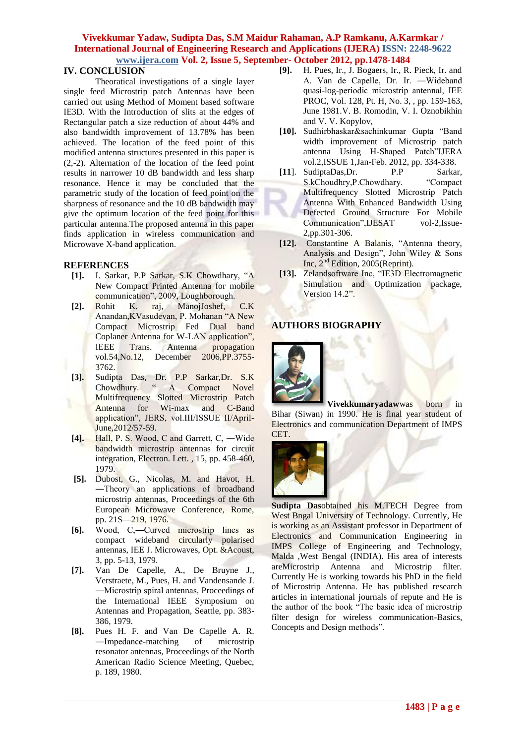#### **IV. CONCLUSION**

Theoratical investigations of a single layer single feed Microstrip patch Antennas have been carried out using Method of Moment based software IE3D. With the Introduction of slits at the edges of Rectangular patch a size reduction of about 44% and also bandwidth improvement of 13.78% has been achieved. The location of the feed point of this modified antenna structures presented in this paper is (2,-2). Alternation of the location of the feed point results in narrower 10 dB bandwidth and less sharp resonance. Hence it may be concluded that the parametric study of the location of feed point on the sharpness of resonance and the 10 dB bandwidth may give the optimum location of the feed point for this particular antenna.The proposed antenna in this paper finds application in wireless communication and Microwave X-band application.

#### **REFERENCES**

- **[1].** I. Sarkar, P.P Sarkar, S.K Chowdhary, "A New Compact Printed Antenna for mobile communication", 2009, Loughborough.
- **[2].** Rohit K. raj, ManojJoshef, C.K Anandan,KVasudevan, P. Mohanan "A New Compact Microstrip Fed Dual band Coplaner Antenna for W-LAN application", IEEE Trans. Antenna propagation vol.54,No.12, December 2006,PP.3755- 3762.
- **[3].** Sudipta Das, Dr. P.P Sarkar,Dr. S.K Chowdhury. " A Compact Novel Multifrequency Slotted Microstrip Patch Antenna for Wi-max and C-Band application", JERS, vol.III/ISSUE II/April-June,2012/57-59.
- **[4].** Hall, P. S. Wood, C and Garrett, C, ―Wide bandwidth microstrip antennas for circuit integration, Electron. Lett. , 15, pp. 458-460, 1979.
- **[5].** Dubost, G., Nicolas, M. and Havot, H. ―Theory an applications of broadband microstrip antennas, Proceedings of the 6th European Microwave Conference, Rome, pp. 21S—219, 1976.
- **[6].** Wood, C,―Curved microstrip lines as compact wideband circularly polarised antennas, IEE J. Microwaves, Opt. &Acoust, 3, pp. 5-13, 1979.
- **[7].** Van De Capelle, A., De Bruyne J., Verstraete, M., Pues, H. and Vandensande J. ―Microstrip spiral antennas, Proceedings of the International IEEE Symposium on Antennas and Propagation, Seattle, pp. 383- 386, 1979.
- **[8].** Pues H. F. and Van De Capelle A. R. ―Impedance-matching of microstrip resonator antennas, Proceedings of the North American Radio Science Meeting, Quebec, p. 189, 1980.
- **[9].** H. Pues, Ir., J. Bogaers, Ir., R. Pieck, Ir. and A. Van de Capelle, Dr. Ir. ―Wideband quasi-log-periodic microstrip antenna‖, IEE PROC, Vol. 128, Pt. H, No. 3, , pp. 159-163, June 1981.V. B. Romodin, V. I. Oznobikhin and V. V. Kopylov,
- **[10].** Sudhirbhaskar&sachinkumar Gupta "Band width improvement of Microstrip patch antenna Using H-Shaped Patch"IJERA vol.2,ISSUE 1,Jan-Feb. 2012, pp. 334-338.
- **[11**]. SudiptaDas,Dr. P.P Sarkar, S.kChoudhry,P.Chowdhary. "Compact Multifrequency Slotted Microstrip Patch Antenna With Enhanced Bandwidth Using Defected Ground Structure For Mobile Communication",IJESAT vol-2,Issue-2,pp.301-306.
- **[12].** Constantine A Balanis, "Antenna theory, Analysis and Design", John Wiley & Sons Inc, 2<sup>nd</sup> Edition, 2005(Reprint).
- **[13].** Zelandsoftware Inc, "IE3D Electromagnetic Simulation and Optimization package, Version 14.2".

# **AUTHORS BIOGRAPHY**



**Vivekkumaryadaw**was born in Bihar (Siwan) in 1990. He is final year student of Electronics and communication Department of IMPS CET.



**Sudipta Das**obtained his M.TECH Degree from West Bngal University of Technology. Currently, He is working as an Assistant professor in Department of Electronics and Communication Engineering in IMPS College of Engineering and Technology, Malda ,West Bengal (INDIA). His area of interests areMicrostrip Antenna and Microstrip filter. Currently He is working towards his PhD in the field of Microstrip Antenna. He has published research articles in international journals of repute and He is the author of the book "The basic idea of microstrip filter design for wireless communication-Basics, Concepts and Design methods".